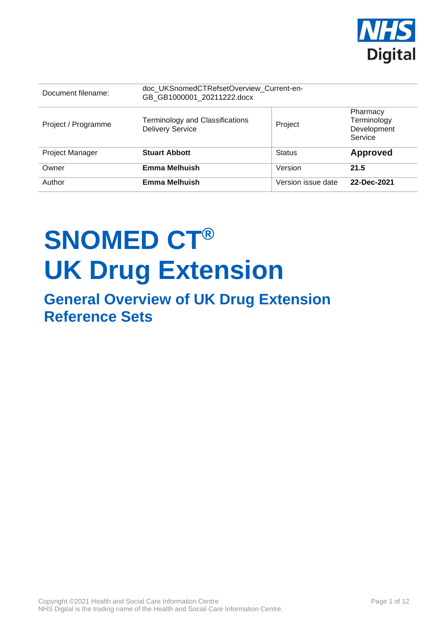

| Document filename:     | doc_UKSnomedCTRefsetOverview_Current-en-<br>GB GB1000001 20211222.docx |                    |                                                   |
|------------------------|------------------------------------------------------------------------|--------------------|---------------------------------------------------|
| Project / Programme    | <b>Terminology and Classifications</b><br><b>Delivery Service</b>      | Project            | Pharmacy<br>Terminology<br>Development<br>Service |
| <b>Project Manager</b> | <b>Stuart Abbott</b>                                                   | <b>Status</b>      | <b>Approved</b>                                   |
| Owner                  | <b>Emma Melhuish</b>                                                   | Version            | 21.5                                              |
| Author                 | Emma Melhuish                                                          | Version issue date | 22-Dec-2021                                       |

# **SNOMED CT® UK Drug Extension**

**General Overview of UK Drug Extension Reference Sets**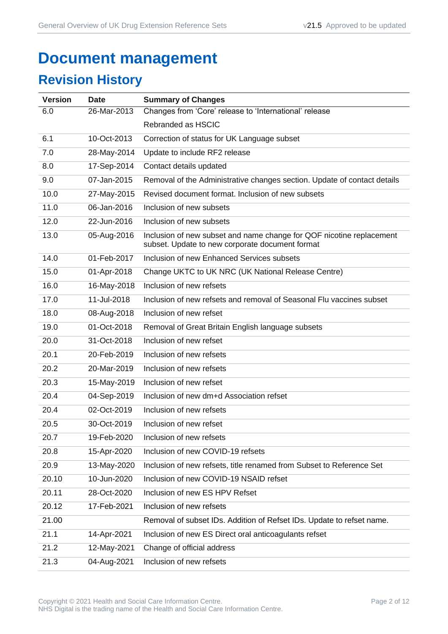## **Document management**

### **Revision History**

| <b>Version</b> | <b>Date</b> | <b>Summary of Changes</b>                                                                                               |
|----------------|-------------|-------------------------------------------------------------------------------------------------------------------------|
| 6.0            | 26-Mar-2013 | Changes from 'Core' release to 'International' release                                                                  |
|                |             | Rebranded as HSCIC                                                                                                      |
| 6.1            | 10-Oct-2013 | Correction of status for UK Language subset                                                                             |
| 7.0            | 28-May-2014 | Update to include RF2 release                                                                                           |
| 8.0            | 17-Sep-2014 | Contact details updated                                                                                                 |
| 9.0            | 07-Jan-2015 | Removal of the Administrative changes section. Update of contact details                                                |
| 10.0           | 27-May-2015 | Revised document format. Inclusion of new subsets                                                                       |
| 11.0           | 06-Jan-2016 | Inclusion of new subsets                                                                                                |
| 12.0           | 22-Jun-2016 | Inclusion of new subsets                                                                                                |
| 13.0           | 05-Aug-2016 | Inclusion of new subset and name change for QOF nicotine replacement<br>subset. Update to new corporate document format |
| 14.0           | 01-Feb-2017 | Inclusion of new Enhanced Services subsets                                                                              |
| 15.0           | 01-Apr-2018 | Change UKTC to UK NRC (UK National Release Centre)                                                                      |
| 16.0           | 16-May-2018 | Inclusion of new refsets                                                                                                |
| 17.0           | 11-Jul-2018 | Inclusion of new refsets and removal of Seasonal Flu vaccines subset                                                    |
| 18.0           | 08-Aug-2018 | Inclusion of new refset                                                                                                 |
| 19.0           | 01-Oct-2018 | Removal of Great Britain English language subsets                                                                       |
| 20.0           | 31-Oct-2018 | Inclusion of new refset                                                                                                 |
| 20.1           | 20-Feb-2019 | Inclusion of new refsets                                                                                                |
| 20.2           | 20-Mar-2019 | Inclusion of new refsets                                                                                                |
| 20.3           | 15-May-2019 | Inclusion of new refset                                                                                                 |
| 20.4           | 04-Sep-2019 | Inclusion of new dm+d Association refset                                                                                |
| 20.4           | 02-Oct-2019 | Inclusion of new refsets                                                                                                |
| 20.5           | 30-Oct-2019 | Inclusion of new refset                                                                                                 |
| 20.7           | 19-Feb-2020 | Inclusion of new refsets                                                                                                |
| 20.8           | 15-Apr-2020 | Inclusion of new COVID-19 refsets                                                                                       |
| 20.9           | 13-May-2020 | Inclusion of new refsets, title renamed from Subset to Reference Set                                                    |
| 20.10          | 10-Jun-2020 | Inclusion of new COVID-19 NSAID refset                                                                                  |
| 20.11          | 28-Oct-2020 | Inclusion of new ES HPV Refset                                                                                          |
| 20.12          | 17-Feb-2021 | Inclusion of new refsets                                                                                                |
| 21.00          |             | Removal of subset IDs. Addition of Refset IDs. Update to refset name.                                                   |
| 21.1           | 14-Apr-2021 | Inclusion of new ES Direct oral anticoagulants refset                                                                   |
| 21.2           | 12-May-2021 | Change of official address                                                                                              |
| 21.3           | 04-Aug-2021 | Inclusion of new refsets                                                                                                |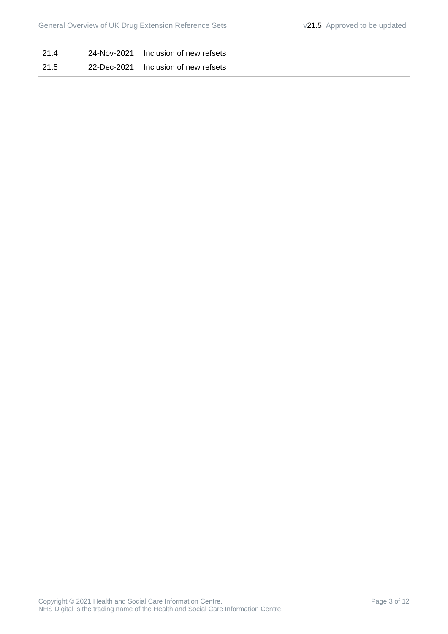| 21.4 | 24-Nov-2021 Inclusion of new refsets |
|------|--------------------------------------|
| 21.5 | 22-Dec-2021 Inclusion of new refsets |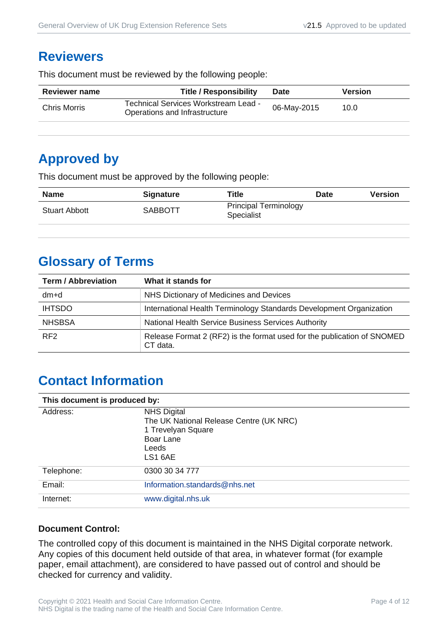#### **Reviewers**

This document must be reviewed by the following people:

| <b>Reviewer name</b> | <b>Title / Responsibility</b>                                         | <b>Date</b> | <b>Version</b> |
|----------------------|-----------------------------------------------------------------------|-------------|----------------|
| Chris Morris         | Technical Services Workstream Lead -<br>Operations and Infrastructure | 06-May-2015 | 10.0           |

### **Approved by**

This document must be approved by the following people:

| <b>Name</b>          | <b>Signature</b> | Title                                      | <b>Date</b> | <b>Version</b> |
|----------------------|------------------|--------------------------------------------|-------------|----------------|
| <b>Stuart Abbott</b> | <b>SABBOTT</b>   | <b>Principal Terminology</b><br>Specialist |             |                |

### **Glossary of Terms**

| <b>Term / Abbreviation</b> | What it stands for                                                                  |
|----------------------------|-------------------------------------------------------------------------------------|
| dm+d                       | NHS Dictionary of Medicines and Devices                                             |
| <b>IHTSDO</b>              | International Health Terminology Standards Development Organization                 |
| <b>NHSBSA</b>              | National Health Service Business Services Authority                                 |
| RF <sub>2</sub>            | Release Format 2 (RF2) is the format used for the publication of SNOMED<br>CT data. |

### **Contact Information**

| This document is produced by: |                                                                                                                      |
|-------------------------------|----------------------------------------------------------------------------------------------------------------------|
| Address:                      | <b>NHS Digital</b><br>The UK National Release Centre (UK NRC)<br>1 Trevelyan Square<br>Boar Lane<br>Leeds<br>LS1 6AE |
| Telephone:                    | 0300 30 34 777                                                                                                       |
| Email:                        | Information.standards@nhs.net                                                                                        |
| Internet:                     | www.digital.nhs.uk                                                                                                   |

#### **Document Control:**

The controlled copy of this document is maintained in the NHS Digital corporate network. Any copies of this document held outside of that area, in whatever format (for example paper, email attachment), are considered to have passed out of control and should be checked for currency and validity.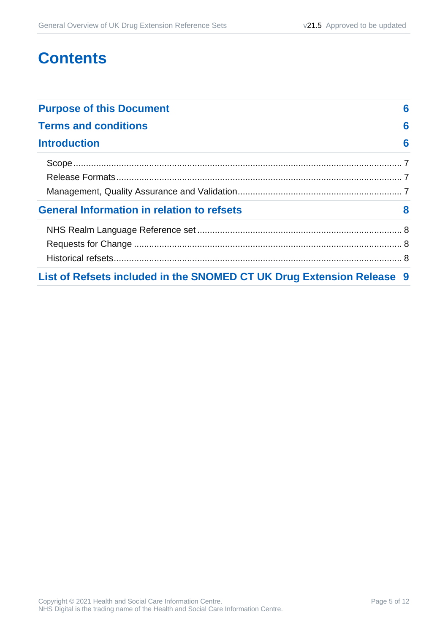### **Contents**

| <b>Purpose of this Document</b>                                       | 6 |
|-----------------------------------------------------------------------|---|
| <b>Terms and conditions</b>                                           | 6 |
| <b>Introduction</b>                                                   | 6 |
|                                                                       |   |
|                                                                       |   |
|                                                                       |   |
| <b>General Information in relation to refsets</b>                     | 8 |
|                                                                       |   |
|                                                                       |   |
|                                                                       |   |
| List of Refsets included in the SNOMED CT UK Drug Extension Release 9 |   |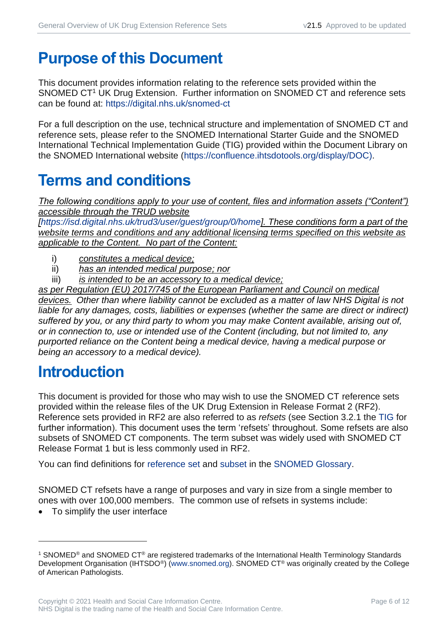### <span id="page-5-0"></span>**Purpose of this Document**

This document provides information relating to the reference sets provided within the SNOMED CT<sup>1</sup> UK Drug Extension. Further information on SNOMED CT and reference sets can be found at:<https://digital.nhs.uk/snomed-ct>

For a full description on the use, technical structure and implementation of SNOMED CT and reference sets, please refer to the SNOMED International Starter Guide and the SNOMED International Technical Implementation Guide (TIG) provided within the Document Library on the SNOMED International website [\(https://confluence.ihtsdotools.org/display/DOC\)](https://confluence.ihtsdotools.org/display/DOC).

### <span id="page-5-1"></span>**Terms and conditions**

*The following conditions apply to your use of content, files and information assets ("Content") accessible through the TRUD website* 

*[\[https://isd.digital.nhs.uk/trud3/user/guest/group/0/home\]](https://isd.digital.nhs.uk/trud3/user/guest/group/0/home). These conditions form a part of the website terms and conditions and any additional licensing terms specified on this website as applicable to the Content. No part of the Content:*

- i) *constitutes a medical device;*
- ii) *has an intended medical purpose; nor*
- iii) *is intended to be an accessory to a medical device;*

*as per Regulation (EU) 2017/745 of the European Parliament and Council on medical devices. Other than where liability cannot be excluded as a matter of law NHS Digital is not liable for any damages, costs, liabilities or expenses (whether the same are direct or indirect) suffered by you, or any third party to whom you may make Content available, arising out of, or in connection to, use or intended use of the Content (including, but not limited to, any purported reliance on the Content being a medical device, having a medical purpose or being an accessory to a medical device).*

### <span id="page-5-2"></span>**Introduction**

This document is provided for those who may wish to use the SNOMED CT reference sets provided within the release files of the UK Drug Extension in Release Format 2 (RF2). Reference sets provided in RF2 are also referred to as *refsets* (see Section 3.2.1 the [TIG](http://snomed.org/tig) for further information). This document uses the term 'refsets' throughout. Some refsets are also subsets of SNOMED CT components. The term subset was widely used with SNOMED CT Release Format 1 but is less commonly used in RF2.

You can find definitions for [reference set](https://confluence.ihtsdotools.org/display/DOCGLOSS/reference+set) and [subset](https://confluence.ihtsdotools.org/display/DOCGLOSS/subset) in the [SNOMED Glossary.](http://snomed.org/gl)

SNOMED CT refsets have a range of purposes and vary in size from a single member to ones with over 100,000 members. The common use of refsets in systems include:

• To simplify the user interface

<sup>1</sup> SNOMED® and SNOMED CT® are registered trademarks of the International Health Terminology Standards Development Organisation (IHTSDO<sup>®</sup>) [\(www.snomed.org\)](http://www.snomed.org/). SNOMED CT<sup>®</sup> was originally created by the College of American Pathologists.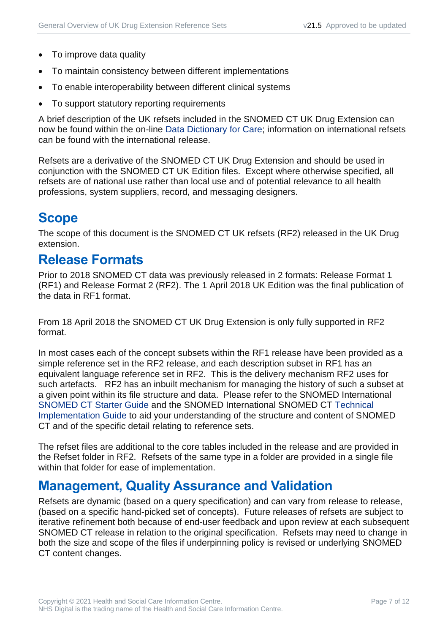- To improve data quality
- To maintain consistency between different implementations
- To enable interoperability between different clinical systems
- To support statutory reporting requirements

A brief description of the UK refsets included in the SNOMED CT UK Drug Extension can now be found within the on-line [Data Dictionary for Care;](https://dd4c.digital.nhs.uk/dd4c/) information on international refsets can be found with the international release.

Refsets are a derivative of the SNOMED CT UK Drug Extension and should be used in conjunction with the SNOMED CT UK Edition files. Except where otherwise specified, all refsets are of national use rather than local use and of potential relevance to all health professions, system suppliers, record, and messaging designers.

### <span id="page-6-0"></span>**Scope**

The scope of this document is the SNOMED CT UK refsets (RF2) released in the UK Drug extension.

#### <span id="page-6-1"></span>**Release Formats**

Prior to 2018 SNOMED CT data was previously released in 2 formats: Release Format 1 (RF1) and Release Format 2 (RF2). The 1 April 2018 UK Edition was the final publication of the data in RF1 format.

From 18 April 2018 the SNOMED CT UK Drug Extension is only fully supported in RF2 format.

In most cases each of the concept subsets within the RF1 release have been provided as a simple reference set in the RF2 release, and each description subset in RF1 has an equivalent language reference set in RF2. This is the delivery mechanism RF2 uses for such artefacts. RF2 has an inbuilt mechanism for managing the history of such a subset at a given point within its file structure and data. Please refer to the SNOMED International [SNOMED CT Starter Guide](http://snomed.org/starter) and the SNOMED International SNOMED CT [Technical](http://snomed.org/tig)  [Implementation Guide](http://snomed.org/tig) to aid your understanding of the structure and content of SNOMED CT and of the specific detail relating to reference sets.

The refset files are additional to the core tables included in the release and are provided in the Refset folder in RF2. Refsets of the same type in a folder are provided in a single file within that folder for ease of implementation.

#### <span id="page-6-2"></span>**Management, Quality Assurance and Validation**

Refsets are dynamic (based on a query specification) and can vary from release to release, (based on a specific hand-picked set of concepts). Future releases of refsets are subject to iterative refinement both because of end-user feedback and upon review at each subsequent SNOMED CT release in relation to the original specification. Refsets may need to change in both the size and scope of the files if underpinning policy is revised or underlying SNOMED CT content changes.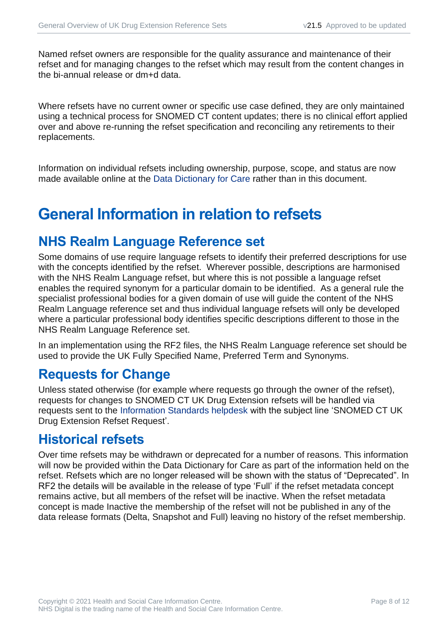Named refset owners are responsible for the quality assurance and maintenance of their refset and for managing changes to the refset which may result from the content changes in the bi-annual release or dm+d data.

Where refsets have no current owner or specific use case defined, they are only maintained using a technical process for SNOMED CT content updates; there is no clinical effort applied over and above re-running the refset specification and reconciling any retirements to their replacements.

Information on individual refsets including ownership, purpose, scope, and status are now made available online at the [Data Dictionary for Care](https://dd4c.digital.nhs.uk/dd4c/) rather than in this document.

### <span id="page-7-0"></span>**General Information in relation to refsets**

#### <span id="page-7-1"></span>**NHS Realm Language Reference set**

Some domains of use require language refsets to identify their preferred descriptions for use with the concepts identified by the refset. Wherever possible, descriptions are harmonised with the NHS Realm Language refset, but where this is not possible a language refset enables the required synonym for a particular domain to be identified. As a general rule the specialist professional bodies for a given domain of use will guide the content of the NHS Realm Language reference set and thus individual language refsets will only be developed where a particular professional body identifies specific descriptions different to those in the NHS Realm Language Reference set.

In an implementation using the RF2 files, the NHS Realm Language reference set should be used to provide the UK Fully Specified Name, Preferred Term and Synonyms.

#### <span id="page-7-2"></span>**Requests for Change**

Unless stated otherwise (for example where requests go through the owner of the refset), requests for changes to SNOMED CT UK Drug Extension refsets will be handled via requests sent to the [Information Standards helpdesk](mailto:information.standards@nhs.net?subject=SNOMED%20CT%20UK%20Drug%20Extension%20Refset%20Request) with the subject line 'SNOMED CT UK Drug Extension Refset Request'.

#### <span id="page-7-3"></span>**Historical refsets**

Over time refsets may be withdrawn or deprecated for a number of reasons. This information will now be provided within the Data Dictionary for Care as part of the information held on the refset. Refsets which are no longer released will be shown with the status of "Deprecated". In RF2 the details will be available in the release of type 'Full' if the refset metadata concept remains active, but all members of the refset will be inactive. When the refset metadata concept is made Inactive the membership of the refset will not be published in any of the data release formats (Delta, Snapshot and Full) leaving no history of the refset membership.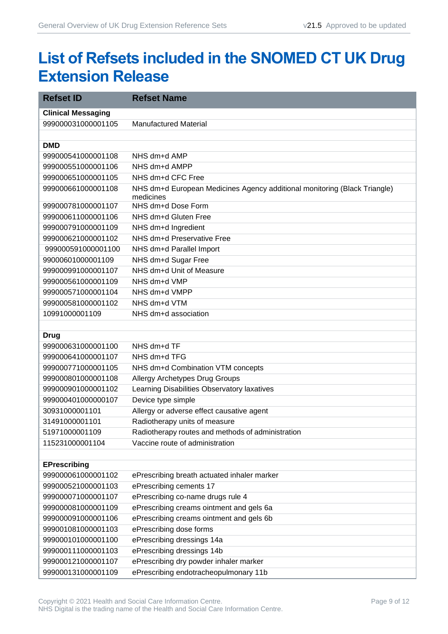### <span id="page-8-0"></span>**List of Refsets included in the SNOMED CT UK Drug Extension Release**

| <b>Refset ID</b>          | <b>Refset Name</b>                                                                     |
|---------------------------|----------------------------------------------------------------------------------------|
| <b>Clinical Messaging</b> |                                                                                        |
| 999000031000001105        | <b>Manufactured Material</b>                                                           |
|                           |                                                                                        |
| <b>DMD</b>                |                                                                                        |
| 999000541000001108        | NHS dm+d AMP                                                                           |
| 999000551000001106        | NHS dm+d AMPP                                                                          |
| 999000651000001105        | NHS dm+d CFC Free                                                                      |
| 999000661000001108        | NHS dm+d European Medicines Agency additional monitoring (Black Triangle)<br>medicines |
| 999000781000001107        | NHS dm+d Dose Form                                                                     |
| 999000611000001106        | NHS dm+d Gluten Free                                                                   |
| 999000791000001109        | NHS dm+d Ingredient                                                                    |
| 999000621000001102        | NHS dm+d Preservative Free                                                             |
| 999000591000001100        | NHS dm+d Parallel Import                                                               |
| 99000601000001109         | NHS dm+d Sugar Free                                                                    |
| 999000991000001107        | NHS dm+d Unit of Measure                                                               |
| 999000561000001109        | NHS dm+d VMP                                                                           |
| 999000571000001104        | NHS dm+d VMPP                                                                          |
| 999000581000001102        | NHS dm+d VTM                                                                           |
| 10991000001109            | NHS dm+d association                                                                   |
|                           |                                                                                        |
| Drug                      |                                                                                        |
| 999000631000001100        | NHS dm+d TF                                                                            |
| 999000641000001107        | NHS dm+d TFG                                                                           |
| 999000771000001105        | NHS dm+d Combination VTM concepts                                                      |
| 999000801000001108        | Allergy Archetypes Drug Groups                                                         |
| 999000901000001102        | Learning Disabilities Observatory laxatives                                            |
| 999000401000000107        | Device type simple                                                                     |
| 30931000001101            | Allergy or adverse effect causative agent                                              |
| 31491000001101            | Radiotherapy units of measure                                                          |
| 51971000001109            | Radiotherapy routes and methods of administration                                      |
| 115231000001104           | Vaccine route of administration                                                        |
|                           |                                                                                        |
| <b>EPrescribing</b>       |                                                                                        |
| 999000061000001102        | ePrescribing breath actuated inhaler marker                                            |
| 999000521000001103        | ePrescribing cements 17                                                                |
| 999000071000001107        | ePrescribing co-name drugs rule 4                                                      |
| 999000081000001109        | ePrescribing creams ointment and gels 6a                                               |
| 999000091000001106        | ePrescribing creams ointment and gels 6b                                               |
| 999001081000001103        | ePrescribing dose forms                                                                |
| 999000101000001100        | ePrescribing dressings 14a                                                             |
| 999000111000001103        | ePrescribing dressings 14b                                                             |
| 999000121000001107        | ePrescribing dry powder inhaler marker                                                 |
| 999000131000001109        | ePrescribing endotracheopulmonary 11b                                                  |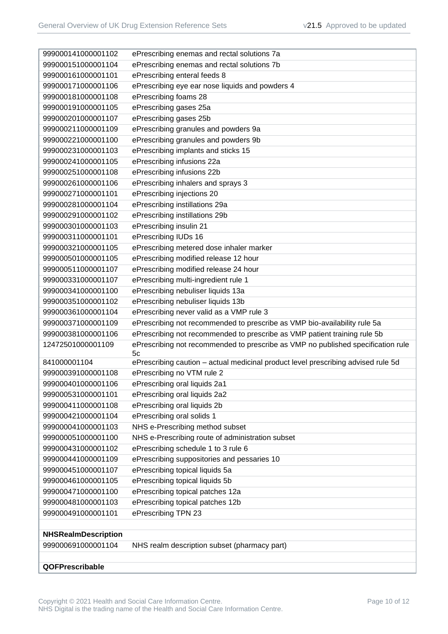| 999000141000001102         | ePrescribing enemas and rectal solutions 7a                                            |
|----------------------------|----------------------------------------------------------------------------------------|
| 999000151000001104         | ePrescribing enemas and rectal solutions 7b                                            |
| 999000161000001101         | ePrescribing enteral feeds 8                                                           |
| 999000171000001106         | ePrescribing eye ear nose liquids and powders 4                                        |
| 999000181000001108         | ePrescribing foams 28                                                                  |
| 999000191000001105         | ePrescribing gases 25a                                                                 |
| 999000201000001107         | ePrescribing gases 25b                                                                 |
| 999000211000001109         | ePrescribing granules and powders 9a                                                   |
| 999000221000001100         | ePrescribing granules and powders 9b                                                   |
| 999000231000001103         | ePrescribing implants and sticks 15                                                    |
| 999000241000001105         | ePrescribing infusions 22a                                                             |
| 999000251000001108         | ePrescribing infusions 22b                                                             |
| 999000261000001106         | ePrescribing inhalers and sprays 3                                                     |
| 999000271000001101         | ePrescribing injections 20                                                             |
| 999000281000001104         | ePrescribing instillations 29a                                                         |
| 999000291000001102         | ePrescribing instillations 29b                                                         |
| 999000301000001103         | ePrescribing insulin 21                                                                |
| 999000311000001101         | ePrescribing IUDs 16                                                                   |
| 999000321000001105         | ePrescribing metered dose inhaler marker                                               |
| 999000501000001105         | ePrescribing modified release 12 hour                                                  |
| 999000511000001107         | ePrescribing modified release 24 hour                                                  |
| 999000331000001107         | ePrescribing multi-ingredient rule 1                                                   |
| 999000341000001100         | ePrescribing nebuliser liquids 13a                                                     |
| 999000351000001102         | ePrescribing nebuliser liquids 13b                                                     |
| 999000361000001104         | ePrescribing never valid as a VMP rule 3                                               |
| 999000371000001109         | ePrescribing not recommended to prescribe as VMP bio-availability rule 5a              |
| 999000381000001106         | ePrescribing not recommended to prescribe as VMP patient training rule 5b              |
| 12472501000001109          | ePrescribing not recommended to prescribe as VMP no published specification rule<br>5c |
| 841000001104               | ePrescribing caution - actual medicinal product level prescribing advised rule 5d      |
| 999000391000001108         | ePrescribing no VTM rule 2                                                             |
| 999000401000001106         | ePrescribing oral liquids 2a1                                                          |
| 999000531000001101         | ePrescribing oral liquids 2a2                                                          |
| 999000411000001108         | ePrescribing oral liquids 2b                                                           |
| 999000421000001104         | ePrescribing oral solids 1                                                             |
| 999000041000001103         | NHS e-Prescribing method subset                                                        |
| 999000051000001100         | NHS e-Prescribing route of administration subset                                       |
| 999000431000001102         | ePrescribing schedule 1 to 3 rule 6                                                    |
| 999000441000001109         | ePrescribing suppositories and pessaries 10                                            |
| 999000451000001107         | ePrescribing topical liquids 5a                                                        |
| 999000461000001105         | ePrescribing topical liquids 5b                                                        |
| 999000471000001100         | ePrescribing topical patches 12a                                                       |
| 999000481000001103         | ePrescribing topical patches 12b                                                       |
| 999000491000001101         | ePrescribing TPN 23                                                                    |
|                            |                                                                                        |
| <b>NHSRealmDescription</b> |                                                                                        |
| 999000691000001104         | NHS realm description subset (pharmacy part)                                           |
| QOFPrescribable            |                                                                                        |
|                            |                                                                                        |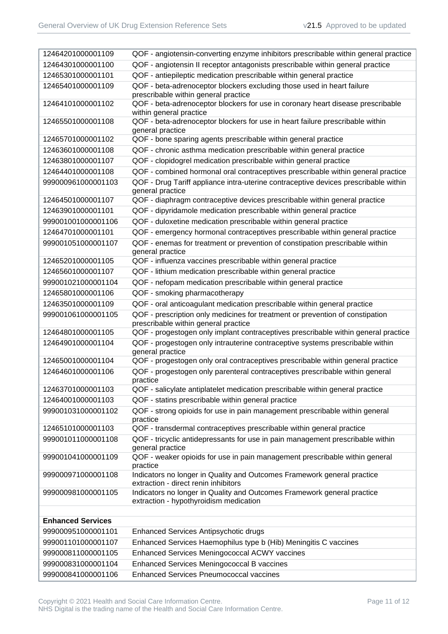| 12464201000001109        | QOF - angiotensin-converting enzyme inhibitors prescribable within general practice                                   |
|--------------------------|-----------------------------------------------------------------------------------------------------------------------|
| 12464301000001100        | QOF - angiotensin II receptor antagonists prescribable within general practice                                        |
| 12465301000001101        | QOF - antiepileptic medication prescribable within general practice                                                   |
| 12465401000001109        | QOF - beta-adrenoceptor blockers excluding those used in heart failure                                                |
|                          | prescribable within general practice                                                                                  |
| 12464101000001102        | QOF - beta-adrenoceptor blockers for use in coronary heart disease prescribable<br>within general practice            |
| 12465501000001108        | QOF - beta-adrenoceptor blockers for use in heart failure prescribable within<br>general practice                     |
| 12465701000001102        | QOF - bone sparing agents prescribable within general practice                                                        |
| 12463601000001108        | QOF - chronic asthma medication prescribable within general practice                                                  |
| 12463801000001107        | QOF - clopidogrel medication prescribable within general practice                                                     |
| 12464401000001108        | QOF - combined hormonal oral contraceptives prescribable within general practice                                      |
| 999000961000001103       | QOF - Drug Tariff appliance intra-uterine contraceptive devices prescribable within<br>general practice               |
| 12464501000001107        | QOF - diaphragm contraceptive devices prescribable within general practice                                            |
| 12463901000001101        | QOF - dipyridamole medication prescribable within general practice                                                    |
| 999001001000001106       | QOF - duloxetine medication prescribable within general practice                                                      |
| 12464701000001101        | QOF - emergency hormonal contraceptives prescribable within general practice                                          |
| 999001051000001107       | QOF - enemas for treatment or prevention of constipation prescribable within<br>general practice                      |
| 12465201000001105        | QOF - influenza vaccines prescribable within general practice                                                         |
| 12465601000001107        | QOF - lithium medication prescribable within general practice                                                         |
| 999001021000001104       | QOF - nefopam medication prescribable within general practice                                                         |
| 12465801000001106        | QOF - smoking pharmacotherapy                                                                                         |
| 12463501000001109        | QOF - oral anticoagulant medication prescribable within general practice                                              |
| 999001061000001105       | QOF - prescription only medicines for treatment or prevention of constipation<br>prescribable within general practice |
| 12464801000001105        | QOF - progestogen only implant contraceptives prescribable within general practice                                    |
| 12464901000001104        | QOF - progestogen only intrauterine contraceptive systems prescribable within<br>general practice                     |
| 12465001000001104        | QOF - progestogen only oral contraceptives prescribable within general practice                                       |
| 12464601000001106        | QOF - progestogen only parenteral contraceptives prescribable within general<br>practice                              |
| 12463701000001103        | QOF - salicylate antiplatelet medication prescribable within general practice                                         |
| 12464001000001103        | QOF - statins prescribable within general practice                                                                    |
| 999001031000001102       | QOF - strong opioids for use in pain management prescribable within general<br>practice                               |
| 12465101000001103        | QOF - transdermal contraceptives prescribable within general practice                                                 |
| 999001011000001108       | QOF - tricyclic antidepressants for use in pain management prescribable within<br>general practice                    |
| 999001041000001109       | QOF - weaker opioids for use in pain management prescribable within general<br>practice                               |
| 999000971000001108       | Indicators no longer in Quality and Outcomes Framework general practice<br>extraction - direct renin inhibitors       |
| 999000981000001105       | Indicators no longer in Quality and Outcomes Framework general practice<br>extraction - hypothyroidism medication     |
|                          |                                                                                                                       |
| <b>Enhanced Services</b> |                                                                                                                       |
| 999000951000001101       | Enhanced Services Antipsychotic drugs                                                                                 |
| 999001101000001107       | Enhanced Services Haemophilus type b (Hib) Meningitis C vaccines                                                      |
| 999000811000001105       | Enhanced Services Meningococcal ACWY vaccines                                                                         |
| 999000831000001104       | Enhanced Services Meningococcal B vaccines                                                                            |
| 999000841000001106       | <b>Enhanced Services Pneumococcal vaccines</b>                                                                        |